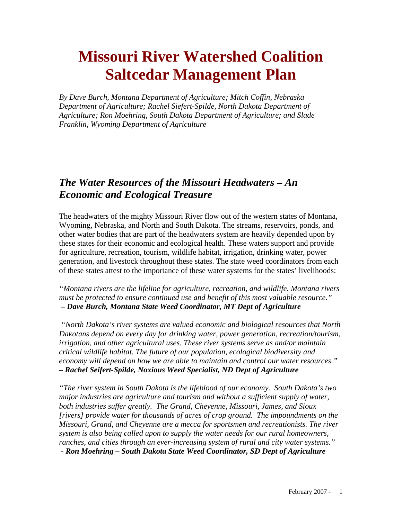# **Missouri River Watershed Coalition Saltcedar Management Plan**

*By Dave Burch, Montana Department of Agriculture; Mitch Coffin, Nebraska Department of Agriculture; Rachel Siefert-Spilde, North Dakota Department of Agriculture; Ron Moehring, South Dakota Department of Agriculture; and Slade Franklin, Wyoming Department of Agriculture* 

#### *The Water Resources of the Missouri Headwaters – An Economic and Ecological Treasure*

The headwaters of the mighty Missouri River flow out of the western states of Montana, Wyoming, Nebraska, and North and South Dakota. The streams, reservoirs, ponds, and other water bodies that are part of the headwaters system are heavily depended upon by these states for their economic and ecological health. These waters support and provide for agriculture, recreation, tourism, wildlife habitat, irrigation, drinking water, power generation, and livestock throughout these states. The state weed coordinators from each of these states attest to the importance of these water systems for the states' livelihoods:

*"Montana rivers are the lifeline for agriculture, recreation, and wildlife. Montana rivers must be protected to ensure continued use and benefit of this most valuable resource." – Dave Burch, Montana State Weed Coordinator, MT Dept of Agriculture* 

 *"North Dakota's river systems are valued economic and biological resources that North Dakotans depend on every day for drinking water, power generation, recreation/tourism, irrigation, and other agricultural uses. These river systems serve as and/or maintain critical wildlife habitat. The future of our population, ecological biodiversity and economy will depend on how we are able to maintain and control our water resources." – Rachel Seifert-Spilde, Noxious Weed Specialist, ND Dept of Agriculture* 

*"The river system in South Dakota is the lifeblood of our economy. South Dakota's two major industries are agriculture and tourism and without a sufficient supply of water, both industries suffer greatly. The Grand, Cheyenne, Missouri, James, and Sioux [rivers] provide water for thousands of acres of crop ground. The impoundments on the Missouri, Grand, and Cheyenne are a mecca for sportsmen and recreationists. The river system is also being called upon to supply the water needs for our rural homeowners, ranches, and cities through an ever-increasing system of rural and city water systems." - Ron Moehring – South Dakota State Weed Coordinator, SD Dept of Agriculture*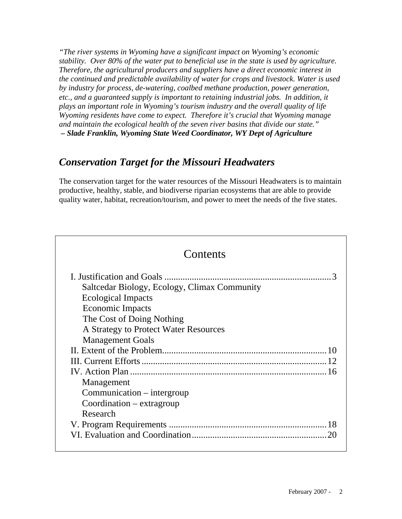*"The river systems in Wyoming have a significant impact on Wyoming's economic stability. Over 80% of the water put to beneficial use in the state is used by agriculture. Therefore, the agricultural producers and suppliers have a direct economic interest in the continued and predictable availability of water for crops and livestock. Water is used by industry for process, de-watering, coalbed methane production, power generation, etc., and a guaranteed supply is important to retaining industrial jobs. In addition, it plays an important role in Wyoming's tourism industry and the overall quality of life Wyoming residents have come to expect. Therefore it's crucial that Wyoming manage and maintain the ecological health of the seven river basins that divide our state." – Slade Franklin, Wyoming State Weed Coordinator, WY Dept of Agriculture* 

## *Conservation Target for the Missouri Headwaters*

The conservation target for the water resources of the Missouri Headwaters is to maintain productive, healthy, stable, and biodiverse riparian ecosystems that are able to provide quality water, habitat, recreation/tourism, and power to meet the needs of the five states.

| Contents                                                                                                                                                                                       |
|------------------------------------------------------------------------------------------------------------------------------------------------------------------------------------------------|
| Saltcedar Biology, Ecology, Climax Community<br><b>Ecological Impacts</b><br>Economic Impacts<br>The Cost of Doing Nothing<br>A Strategy to Protect Water Resources<br><b>Management Goals</b> |
| Management<br>Communication – intergroup<br>Coordination – extragroup                                                                                                                          |
| Research                                                                                                                                                                                       |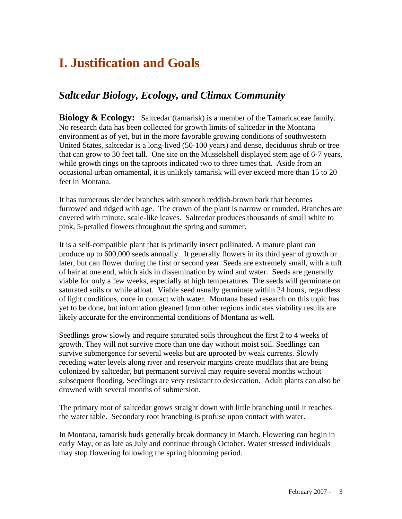## **I. Justification and Goals**

### *Saltcedar Biology, Ecology, and Climax Community*

**Biology & Ecology:** Saltcedar (tamarisk) is a member of the Tamaricaceae family. No research data has been collected for growth limits of saltcedar in the Montana environment as of yet, but in the more favorable growing conditions of southwestern United States, saltcedar is a long-lived (50-100 years) and dense, deciduous shrub or tree that can grow to 30 feet tall. One site on the Musselshell displayed stem age of 6-7 years, while growth rings on the taproots indicated two to three times that. Aside from an occasional urban ornamental, it is unlikely tamarisk will ever exceed more than 15 to 20 feet in Montana.

It has numerous slender branches with smooth reddish-brown bark that becomes furrowed and ridged with age. The crown of the plant is narrow or rounded. Branches are covered with minute, scale-like leaves. Saltcedar produces thousands of small white to pink, 5-petalled flowers throughout the spring and summer.

It is a self-compatible plant that is primarily insect pollinated. A mature plant can produce up to 600,000 seeds annually. It generally flowers in its third year of growth or later, but can flower during the first or second year. Seeds are extremely small, with a tuft of hair at one end, which aids in dissemination by wind and water. Seeds are generally viable for only a few weeks, especially at high temperatures. The seeds will germinate on saturated soils or while afloat. Viable seed usually germinate within 24 hours, regardless of light conditions, once in contact with water. Montana based research on this topic has yet to be done, but information gleaned from other regions indicates viability results are likely accurate for the environmental conditions of Montana as well.

Seedlings grow slowly and require saturated soils throughout the first 2 to 4 weeks of growth. They will not survive more than one day without moist soil. Seedlings can survive submergence for several weeks but are uprooted by weak currents. Slowly receding water levels along river and reservoir margins create mudflats that are being colonized by saltcedar, but permanent survival may require several months without subsequent flooding. Seedlings are very resistant to desiccation. Adult plants can also be drowned with several months of submersion.

The primary root of saltcedar grows straight down with little branching until it reaches the water table. Secondary root branching is profuse upon contact with water.

In Montana, tamarisk buds generally break dormancy in March. Flowering can begin in early May, or as late as July and continue through October. Water stressed individuals may stop flowering following the spring blooming period.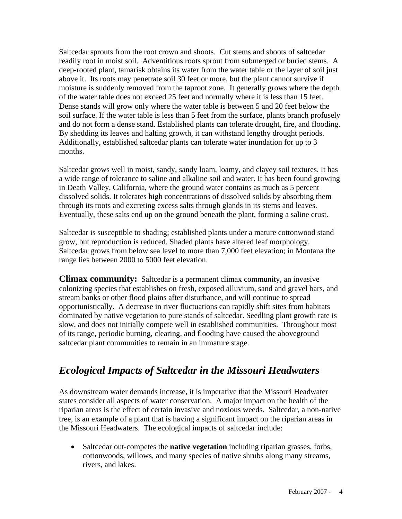Saltcedar sprouts from the root crown and shoots. Cut stems and shoots of saltcedar readily root in moist soil. Adventitious roots sprout from submerged or buried stems. A deep-rooted plant, tamarisk obtains its water from the water table or the layer of soil just above it. Its roots may penetrate soil 30 feet or more, but the plant cannot survive if moisture is suddenly removed from the taproot zone. It generally grows where the depth of the water table does not exceed 25 feet and normally where it is less than 15 feet. Dense stands will grow only where the water table is between 5 and 20 feet below the soil surface. If the water table is less than 5 feet from the surface, plants branch profusely and do not form a dense stand. Established plants can tolerate drought, fire, and flooding. By shedding its leaves and halting growth, it can withstand lengthy drought periods. Additionally, established saltcedar plants can tolerate water inundation for up to 3 months.

Saltcedar grows well in moist, sandy, sandy loam, loamy, and clayey soil textures. It has a wide range of tolerance to saline and alkaline soil and water. It has been found growing in Death Valley, California, where the ground water contains as much as 5 percent dissolved solids. It tolerates high concentrations of dissolved solids by absorbing them through its roots and excreting excess salts through glands in its stems and leaves. Eventually, these salts end up on the ground beneath the plant, forming a saline crust.

Saltcedar is susceptible to shading; established plants under a mature cottonwood stand grow, but reproduction is reduced. Shaded plants have altered leaf morphology. Saltcedar grows from below sea level to more than 7,000 feet elevation; in Montana the range lies between 2000 to 5000 feet elevation.

**Climax community:** Salteedar is a permanent climax community, an invasive colonizing species that establishes on fresh, exposed alluvium, sand and gravel bars, and stream banks or other flood plains after disturbance, and will continue to spread opportunistically. A decrease in river fluctuations can rapidly shift sites from habitats dominated by native vegetation to pure stands of saltcedar. Seedling plant growth rate is slow, and does not initially compete well in established communities. Throughout most of its range, periodic burning, clearing, and flooding have caused the aboveground saltcedar plant communities to remain in an immature stage.

## *Ecological Impacts of Saltcedar in the Missouri Headwaters*

As downstream water demands increase, it is imperative that the Missouri Headwater states consider all aspects of water conservation. A major impact on the health of the riparian areas is the effect of certain invasive and noxious weeds. Saltcedar, a non-native tree, is an example of a plant that is having a significant impact on the riparian areas in the Missouri Headwaters. The ecological impacts of saltcedar include:

• Saltcedar out-competes the **native vegetation** including riparian grasses, forbs, cottonwoods, willows, and many species of native shrubs along many streams, rivers, and lakes.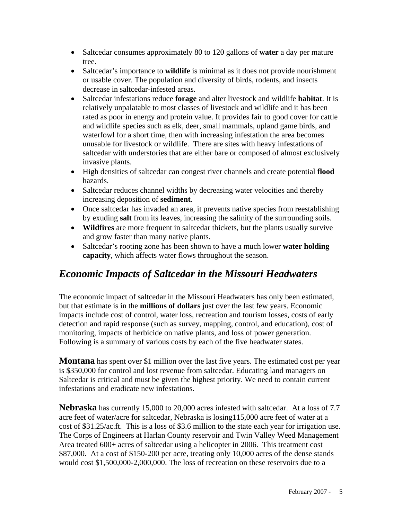- Saltcedar consumes approximately 80 to 120 gallons of **water** a day per mature tree.
- Saltcedar's importance to **wildlife** is minimal as it does not provide nourishment or usable cover. The population and diversity of birds, rodents, and insects decrease in saltcedar-infested areas.
- Saltcedar infestations reduce **forage** and alter livestock and wildlife **habitat**. It is relatively unpalatable to most classes of livestock and wildlife and it has been rated as poor in energy and protein value. It provides fair to good cover for cattle and wildlife species such as elk, deer, small mammals, upland game birds, and waterfowl for a short time, then with increasing infestation the area becomes unusable for livestock or wildlife. There are sites with heavy infestations of saltcedar with understories that are either bare or composed of almost exclusively invasive plants.
- High densities of saltcedar can congest river channels and create potential **flood** hazards.
- Saltcedar reduces channel widths by decreasing water velocities and thereby increasing deposition of **sediment**.
- Once salteedar has invaded an area, it prevents native species from reestablishing by exuding **salt** from its leaves, increasing the salinity of the surrounding soils.
- **Wildfires** are more frequent in saltcedar thickets, but the plants usually survive and grow faster than many native plants.
- Saltcedar's rooting zone has been shown to have a much lower **water holding capacity**, which affects water flows throughout the season.

## *Economic Impacts of Saltcedar in the Missouri Headwaters*

The economic impact of saltcedar in the Missouri Headwaters has only been estimated, but that estimate is in the **millions of dollars** just over the last few years. Economic impacts include cost of control, water loss, recreation and tourism losses, costs of early detection and rapid response (such as survey, mapping, control, and education), cost of monitoring, impacts of herbicide on native plants, and loss of power generation. Following is a summary of various costs by each of the five headwater states.

**Montana** has spent over \$1 million over the last five years. The estimated cost per year is \$350,000 for control and lost revenue from saltcedar. Educating land managers on Saltcedar is critical and must be given the highest priority. We need to contain current infestations and eradicate new infestations.

**Nebraska** has currently 15,000 to 20,000 acres infested with saltcedar. At a loss of 7.7 acre feet of water/acre for saltcedar, Nebraska is losing115,000 acre feet of water at a cost of \$31.25/ac.ft. This is a loss of \$3.6 million to the state each year for irrigation use. The Corps of Engineers at Harlan County reservoir and Twin Valley Weed Management Area treated 600+ acres of saltcedar using a helicopter in 2006. This treatment cost \$87,000. At a cost of \$150-200 per acre, treating only 10,000 acres of the dense stands would cost \$1,500,000-2,000,000. The loss of recreation on these reservoirs due to a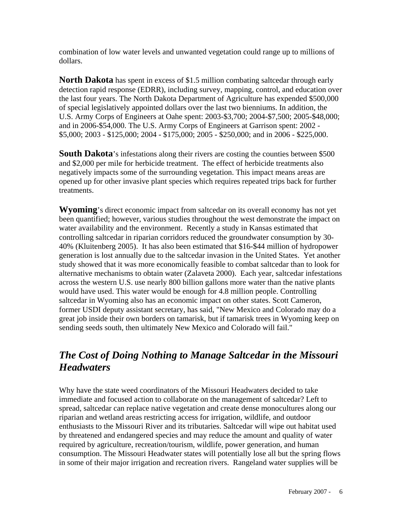combination of low water levels and unwanted vegetation could range up to millions of dollars.

**North Dakota** has spent in excess of \$1.5 million combating saltcedar through early detection rapid response (EDRR), including survey, mapping, control, and education over the last four years. The North Dakota Department of Agriculture has expended \$500,000 of special legislatively appointed dollars over the last two bienniums. In addition, the U.S. Army Corps of Engineers at Oahe spent: 2003-\$3,700; 2004-\$7,500; 2005-\$48,000; and in 2006-\$54,000. The U.S. Army Corps of Engineers at Garrison spent: 2002 - \$5,000; 2003 - \$125,000; 2004 - \$175,000; 2005 - \$250,000; and in 2006 - \$225,000.

**South Dakota**'s infestations along their rivers are costing the counties between \$500 and \$2,000 per mile for herbicide treatment. The effect of herbicide treatments also negatively impacts some of the surrounding vegetation. This impact means areas are opened up for other invasive plant species which requires repeated trips back for further treatments.

**Wyoming**'s direct economic impact from saltcedar on its overall economy has not yet been quantified; however, various studies throughout the west demonstrate the impact on water availability and the environment. Recently a study in Kansas estimated that controlling saltcedar in riparian corridors reduced the groundwater consumption by 30- 40% (Kluitenberg 2005). It has also been estimated that \$16-\$44 million of hydropower generation is lost annually due to the saltcedar invasion in the United States. Yet another study showed that it was more economically feasible to combat saltcedar than to look for alternative mechanisms to obtain water (Zalaveta 2000). Each year, saltcedar infestations across the western U.S. use nearly 800 billion gallons more water than the native plants would have used. This water would be enough for 4.8 million people. Controlling saltcedar in Wyoming also has an economic impact on other states. Scott Cameron, former USDI deputy assistant secretary, has said, "New Mexico and Colorado may do a great job inside their own borders on tamarisk, but if tamarisk trees in Wyoming keep on sending seeds south, then ultimately New Mexico and Colorado will fail."

## *The Cost of Doing Nothing to Manage Saltcedar in the Missouri Headwaters*

Why have the state weed coordinators of the Missouri Headwaters decided to take immediate and focused action to collaborate on the management of saltcedar? Left to spread, saltcedar can replace native vegetation and create dense monocultures along our riparian and wetland areas restricting access for irrigation, wildlife, and outdoor enthusiasts to the Missouri River and its tributaries. Saltcedar will wipe out habitat used by threatened and endangered species and may reduce the amount and quality of water required by agriculture, recreation/tourism, wildlife, power generation, and human consumption. The Missouri Headwater states will potentially lose all but the spring flows in some of their major irrigation and recreation rivers. Rangeland water supplies will be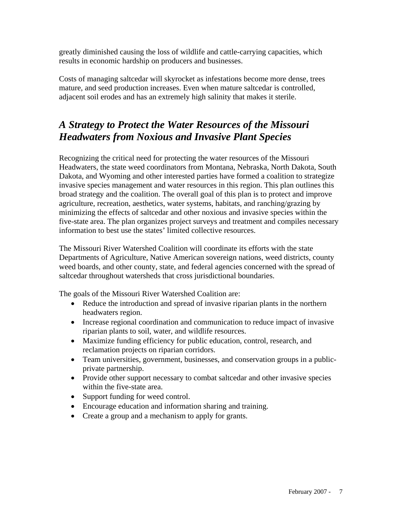greatly diminished causing the loss of wildlife and cattle-carrying capacities, which results in economic hardship on producers and businesses.

Costs of managing saltcedar will skyrocket as infestations become more dense, trees mature, and seed production increases. Even when mature saltcedar is controlled, adjacent soil erodes and has an extremely high salinity that makes it sterile.

## *A Strategy to Protect the Water Resources of the Missouri Headwaters from Noxious and Invasive Plant Species*

Recognizing the critical need for protecting the water resources of the Missouri Headwaters, the state weed coordinators from Montana, Nebraska, North Dakota, South Dakota, and Wyoming and other interested parties have formed a coalition to strategize invasive species management and water resources in this region. This plan outlines this broad strategy and the coalition. The overall goal of this plan is to protect and improve agriculture, recreation, aesthetics, water systems, habitats, and ranching/grazing by minimizing the effects of saltcedar and other noxious and invasive species within the five-state area. The plan organizes project surveys and treatment and compiles necessary information to best use the states' limited collective resources.

The Missouri River Watershed Coalition will coordinate its efforts with the state Departments of Agriculture, Native American sovereign nations, weed districts, county weed boards, and other county, state, and federal agencies concerned with the spread of saltcedar throughout watersheds that cross jurisdictional boundaries.

The goals of the Missouri River Watershed Coalition are:

- Reduce the introduction and spread of invasive riparian plants in the northern headwaters region.
- Increase regional coordination and communication to reduce impact of invasive riparian plants to soil, water, and wildlife resources.
- Maximize funding efficiency for public education, control, research, and reclamation projects on riparian corridors.
- Team universities, government, businesses, and conservation groups in a publicprivate partnership.
- Provide other support necessary to combat salter and other invasive species within the five-state area.
- Support funding for weed control.
- Encourage education and information sharing and training.
- Create a group and a mechanism to apply for grants.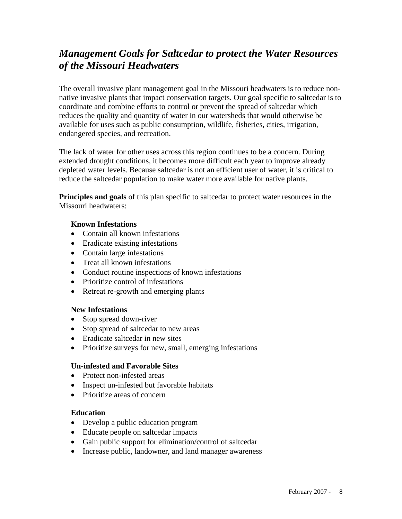## *Management Goals for Saltcedar to protect the Water Resources of the Missouri Headwaters*

The overall invasive plant management goal in the Missouri headwaters is to reduce nonnative invasive plants that impact conservation targets. Our goal specific to saltcedar is to coordinate and combine efforts to control or prevent the spread of saltcedar which reduces the quality and quantity of water in our watersheds that would otherwise be available for uses such as public consumption, wildlife, fisheries, cities, irrigation, endangered species, and recreation.

The lack of water for other uses across this region continues to be a concern. During extended drought conditions, it becomes more difficult each year to improve already depleted water levels. Because saltcedar is not an efficient user of water, it is critical to reduce the saltcedar population to make water more available for native plants.

**Principles and goals** of this plan specific to saltcedar to protect water resources in the Missouri headwaters:

#### **Known Infestations**

- Contain all known infestations
- Eradicate existing infestations
- Contain large infestations
- Treat all known infestations
- Conduct routine inspections of known infestations
- Prioritize control of infestations
- Retreat re-growth and emerging plants

#### **New Infestations**

- Stop spread down-river
- Stop spread of saltedar to new areas
- Eradicate salterdar in new sites
- Prioritize surveys for new, small, emerging infestations

#### **Un-infested and Favorable Sites**

- Protect non-infested areas
- Inspect un-infested but favorable habitats
- Prioritize areas of concern

#### **Education**

- Develop a public education program
- Educate people on saltcedar impacts
- Gain public support for elimination/control of saltcedar
- Increase public, landowner, and land manager awareness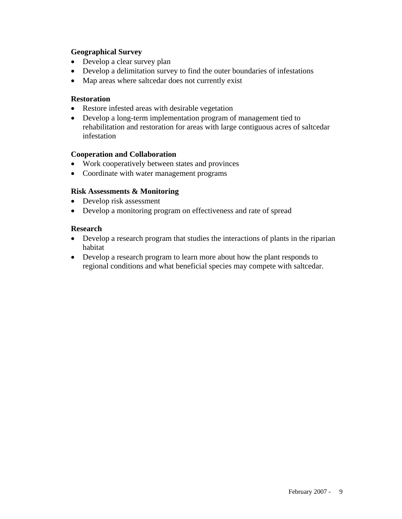#### **Geographical Survey**

- Develop a clear survey plan
- Develop a delimitation survey to find the outer boundaries of infestations
- Map areas where saltedar does not currently exist

#### **Restoration**

- Restore infested areas with desirable vegetation
- Develop a long-term implementation program of management tied to rehabilitation and restoration for areas with large contiguous acres of saltcedar infestation

#### **Cooperation and Collaboration**

- Work cooperatively between states and provinces
- Coordinate with water management programs

#### **Risk Assessments & Monitoring**

- Develop risk assessment
- Develop a monitoring program on effectiveness and rate of spread

#### **Research**

- Develop a research program that studies the interactions of plants in the riparian habitat
- Develop a research program to learn more about how the plant responds to regional conditions and what beneficial species may compete with saltcedar.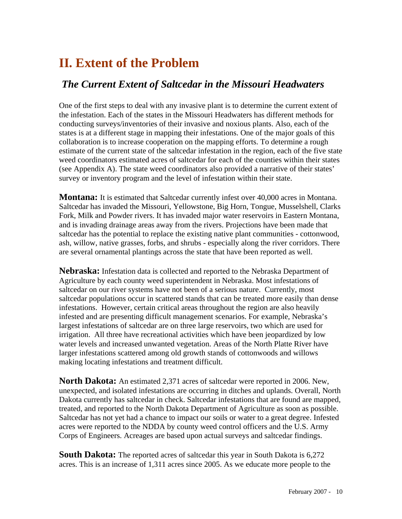## **II. Extent of the Problem**

### *The Current Extent of Saltcedar in the Missouri Headwaters*

One of the first steps to deal with any invasive plant is to determine the current extent of the infestation. Each of the states in the Missouri Headwaters has different methods for conducting surveys/inventories of their invasive and noxious plants. Also, each of the states is at a different stage in mapping their infestations. One of the major goals of this collaboration is to increase cooperation on the mapping efforts. To determine a rough estimate of the current state of the saltcedar infestation in the region, each of the five state weed coordinators estimated acres of saltcedar for each of the counties within their states (see Appendix A). The state weed coordinators also provided a narrative of their states' survey or inventory program and the level of infestation within their state.

**Montana:** It is estimated that Saltcedar currently infest over 40,000 acres in Montana. Saltcedar has invaded the Missouri, Yellowstone, Big Horn, Tongue, Musselshell, Clarks Fork, Milk and Powder rivers. It has invaded major water reservoirs in Eastern Montana, and is invading drainage areas away from the rivers. Projections have been made that saltcedar has the potential to replace the existing native plant communities - cottonwood, ash, willow, native grasses, forbs, and shrubs - especially along the river corridors. There are several ornamental plantings across the state that have been reported as well.

**Nebraska:** Infestation data is collected and reported to the Nebraska Department of Agriculture by each county weed superintendent in Nebraska. Most infestations of saltcedar on our river systems have not been of a serious nature. Currently, most saltcedar populations occur in scattered stands that can be treated more easily than dense infestations. However, certain critical areas throughout the region are also heavily infested and are presenting difficult management scenarios. For example, Nebraska's largest infestations of saltcedar are on three large reservoirs, two which are used for irrigation. All three have recreational activities which have been jeopardized by low water levels and increased unwanted vegetation. Areas of the North Platte River have larger infestations scattered among old growth stands of cottonwoods and willows making locating infestations and treatment difficult.

**North Dakota:** An estimated 2,371 acres of saltcedar were reported in 2006. New, unexpected, and isolated infestations are occurring in ditches and uplands. Overall, North Dakota currently has saltcedar in check. Saltcedar infestations that are found are mapped, treated, and reported to the North Dakota Department of Agriculture as soon as possible. Saltcedar has not yet had a chance to impact our soils or water to a great degree. Infested acres were reported to the NDDA by county weed control officers and the U.S. Army Corps of Engineers. Acreages are based upon actual surveys and saltcedar findings.

**South Dakota:** The reported acres of saltcedar this year in South Dakota is 6,272 acres. This is an increase of 1,311 acres since 2005. As we educate more people to the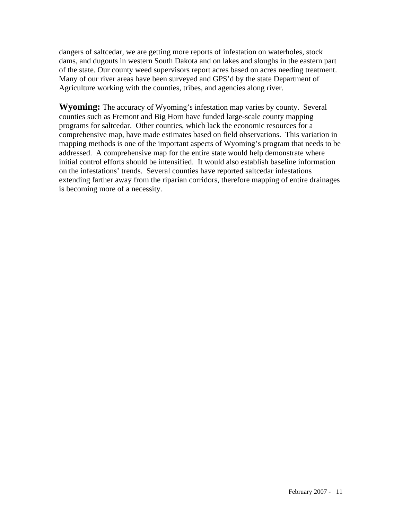dangers of saltcedar, we are getting more reports of infestation on waterholes, stock dams, and dugouts in western South Dakota and on lakes and sloughs in the eastern part of the state. Our county weed supervisors report acres based on acres needing treatment. Many of our river areas have been surveyed and GPS'd by the state Department of Agriculture working with the counties, tribes, and agencies along river.

**Wyoming:** The accuracy of Wyoming's infestation map varies by county. Several counties such as Fremont and Big Horn have funded large-scale county mapping programs for saltcedar. Other counties, which lack the economic resources for a comprehensive map, have made estimates based on field observations. This variation in mapping methods is one of the important aspects of Wyoming's program that needs to be addressed. A comprehensive map for the entire state would help demonstrate where initial control efforts should be intensified. It would also establish baseline information on the infestations' trends. Several counties have reported saltcedar infestations extending farther away from the riparian corridors, therefore mapping of entire drainages is becoming more of a necessity.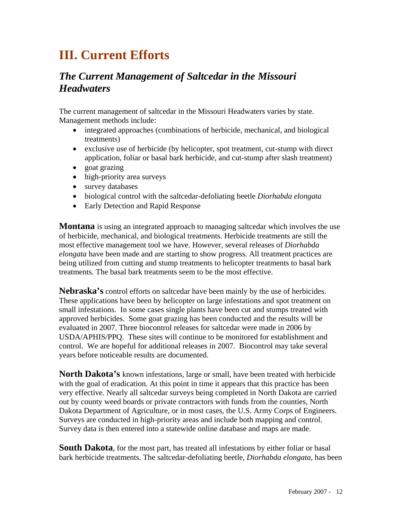## **III. Current Efforts**

## *The Current Management of Saltcedar in the Missouri Headwaters*

The current management of saltcedar in the Missouri Headwaters varies by state. Management methods include:

- integrated approaches (combinations of herbicide, mechanical, and biological treatments)
- exclusive use of herbicide (by helicopter, spot treatment, cut-stump with direct application, foliar or basal bark herbicide, and cut-stump after slash treatment)
- goat grazing
- high-priority area surveys
- survey databases
- biological control with the saltcedar-defoliating beetle *Diorhabda elongata*
- Early Detection and Rapid Response

**Montana** is using an integrated approach to managing saltcedar which involves the use of herbicide, mechanical, and biological treatments. Herbicide treatments are still the most effective management tool we have. However, several releases of *Diorhabda elongata* have been made and are starting to show progress. All treatment practices are being utilized from cutting and stump treatments to helicopter treatments to basal bark treatments. The basal bark treatments seem to be the most effective.

**Nebraska's** control efforts on saltcedar have been mainly by the use of herbicides. These applications have been by helicopter on large infestations and spot treatment on small infestations. In some cases single plants have been cut and stumps treated with approved herbicides. Some goat grazing has been conducted and the results will be evaluated in 2007. Three biocontrol releases for saltcedar were made in 2006 by USDA/APHIS/PPQ. These sites will continue to be monitored for establishment and control. We are hopeful for additional releases in 2007. Biocontrol may take several years before noticeable results are documented.

**North Dakota's** known infestations, large or small, have been treated with herbicide with the goal of eradication. At this point in time it appears that this practice has been very effective. Nearly all saltcedar surveys being completed in North Dakota are carried out by county weed boards or private contractors with funds from the counties, North Dakota Department of Agriculture, or in most cases, the U.S. Army Corps of Engineers. Surveys are conducted in high-priority areas and include both mapping and control. Survey data is then entered into a statewide online database and maps are made.

**South Dakota**, for the most part, has treated all infestations by either foliar or basal bark herbicide treatments. The saltcedar-defoliating beetle, *Diorhabda elongata,* has been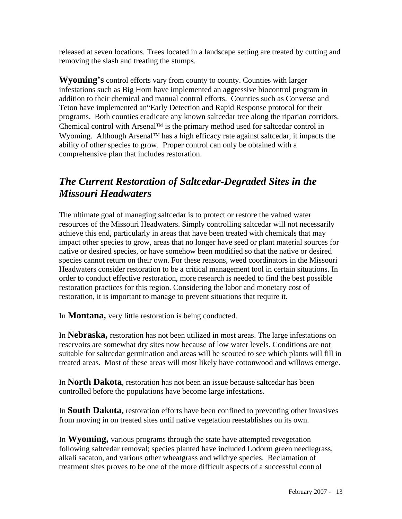released at seven locations. Trees located in a landscape setting are treated by cutting and removing the slash and treating the stumps.

**Wyoming's** control efforts vary from county to county. Counties with larger infestations such as Big Horn have implemented an aggressive biocontrol program in addition to their chemical and manual control efforts. Counties such as Converse and Teton have implemented an"Early Detection and Rapid Response protocol for their programs.Both counties eradicate any known saltcedar tree along the riparian corridors. Chemical control with Arsenal™ is the primary method used for saltcedar control in Wyoming. Although Arsenal™ has a high efficacy rate against saltcedar, it impacts the ability of other species to grow. Proper control can only be obtained with a comprehensive plan that includes restoration.

## *The Current Restoration of Saltcedar-Degraded Sites in the Missouri Headwaters*

The ultimate goal of managing saltcedar is to protect or restore the valued water resources of the Missouri Headwaters. Simply controlling saltcedar will not necessarily achieve this end, particularly in areas that have been treated with chemicals that may impact other species to grow, areas that no longer have seed or plant material sources for native or desired species, or have somehow been modified so that the native or desired species cannot return on their own. For these reasons, weed coordinators in the Missouri Headwaters consider restoration to be a critical management tool in certain situations. In order to conduct effective restoration, more research is needed to find the best possible restoration practices for this region. Considering the labor and monetary cost of restoration, it is important to manage to prevent situations that require it.

In **Montana,** very little restoration is being conducted.

In **Nebraska,** restoration has not been utilized in most areas. The large infestations on reservoirs are somewhat dry sites now because of low water levels. Conditions are not suitable for saltcedar germination and areas will be scouted to see which plants will fill in treated areas. Most of these areas will most likely have cottonwood and willows emerge.

In **North Dakota**, restoration has not been an issue because saltcedar has been controlled before the populations have become large infestations.

In **South Dakota,** restoration efforts have been confined to preventing other invasives from moving in on treated sites until native vegetation reestablishes on its own.

In **Wyoming,** various programs through the state have attempted revegetation following saltcedar removal; species planted have included Lodorm green needlegrass, alkali sacaton, and various other wheatgrass and wildrye species. Reclamation of treatment sites proves to be one of the more difficult aspects of a successful control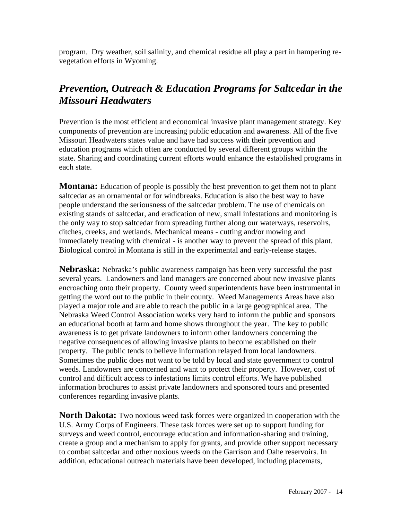program. Dry weather, soil salinity, and chemical residue all play a part in hampering revegetation efforts in Wyoming.

## *Prevention, Outreach & Education Programs for Saltcedar in the Missouri Headwaters*

Prevention is the most efficient and economical invasive plant management strategy. Key components of prevention are increasing public education and awareness. All of the five Missouri Headwaters states value and have had success with their prevention and education programs which often are conducted by several different groups within the state. Sharing and coordinating current efforts would enhance the established programs in each state.

**Montana:** Education of people is possibly the best prevention to get them not to plant saltcedar as an ornamental or for windbreaks. Education is also the best way to have people understand the seriousness of the saltcedar problem. The use of chemicals on existing stands of saltcedar, and eradication of new, small infestations and monitoring is the only way to stop saltcedar from spreading further along our waterways, reservoirs, ditches, creeks, and wetlands. Mechanical means - cutting and/or mowing and immediately treating with chemical - is another way to prevent the spread of this plant. Biological control in Montana is still in the experimental and early-release stages.

**Nebraska:** Nebraska's public awareness campaign has been very successful the past several years. Landowners and land managers are concerned about new invasive plants encroaching onto their property. County weed superintendents have been instrumental in getting the word out to the public in their county. Weed Managements Areas have also played a major role and are able to reach the public in a large geographical area. The Nebraska Weed Control Association works very hard to inform the public and sponsors an educational booth at farm and home shows throughout the year. The key to public awareness is to get private landowners to inform other landowners concerning the negative consequences of allowing invasive plants to become established on their property. The public tends to believe information relayed from local landowners. Sometimes the public does not want to be told by local and state government to control weeds. Landowners are concerned and want to protect their property. However, cost of control and difficult access to infestations limits control efforts. We have published information brochures to assist private landowners and sponsored tours and presented conferences regarding invasive plants.

**North Dakota:** Two noxious weed task forces were organized in cooperation with the U.S. Army Corps of Engineers. These task forces were set up to support funding for surveys and weed control, encourage education and information-sharing and training, create a group and a mechanism to apply for grants, and provide other support necessary to combat saltcedar and other noxious weeds on the Garrison and Oahe reservoirs. In addition, educational outreach materials have been developed, including placemats,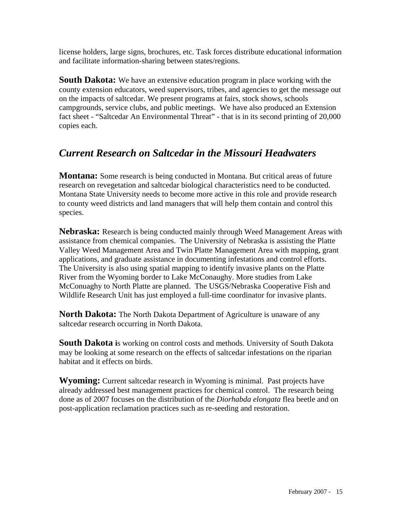license holders, large signs, brochures, etc. Task forces distribute educational information and facilitate information-sharing between states/regions.

**South Dakota:** We have an extensive education program in place working with the county extension educators, weed supervisors, tribes, and agencies to get the message out on the impacts of saltcedar. We present programs at fairs, stock shows, schools campgrounds, service clubs, and public meetings. We have also produced an Extension fact sheet - "Saltcedar An Environmental Threat" - that is in its second printing of 20,000 copies each.

### *Current Research on Saltcedar in the Missouri Headwaters*

**Montana:** Some research is being conducted in Montana. But critical areas of future research on revegetation and saltcedar biological characteristics need to be conducted. Montana State University needs to become more active in this role and provide research to county weed districts and land managers that will help them contain and control this species.

**Nebraska:** Research is being conducted mainly through Weed Management Areas with assistance from chemical companies. The University of Nebraska is assisting the Platte Valley Weed Management Area and Twin Platte Management Area with mapping, grant applications, and graduate assistance in documenting infestations and control efforts. The University is also using spatial mapping to identify invasive plants on the Platte River from the Wyoming border to Lake McConaughy. More studies from Lake McConuaghy to North Platte are planned. The USGS/Nebraska Cooperative Fish and Wildlife Research Unit has just employed a full-time coordinator for invasive plants.

**North Dakota:** The North Dakota Department of Agriculture is unaware of any saltcedar research occurring in North Dakota.

**South Dakota i**s working on control costs and methods. University of South Dakota may be looking at some research on the effects of saltcedar infestations on the riparian habitat and it effects on birds.

**Wyoming:** Current saltcedar research in Wyoming is minimal. Past projects have already addressed best management practices for chemical control. The research being done as of 2007 focuses on the distribution of the *Diorhabda elongata* flea beetle and on post-application reclamation practices such as re-seeding and restoration.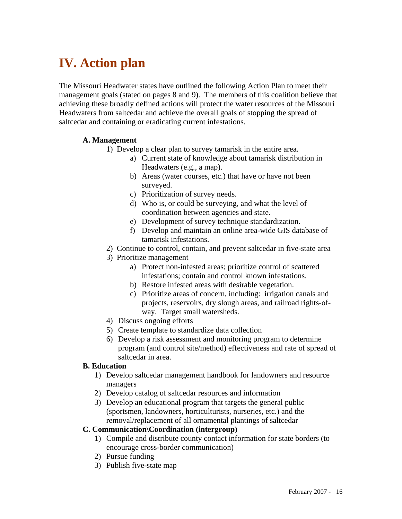# **IV. Action plan**

The Missouri Headwater states have outlined the following Action Plan to meet their management goals (stated on pages 8 and 9). The members of this coalition believe that achieving these broadly defined actions will protect the water resources of the Missouri Headwaters from saltcedar and achieve the overall goals of stopping the spread of saltcedar and containing or eradicating current infestations.

#### **A. Management**

- 1) Develop a clear plan to survey tamarisk in the entire area.
	- a) Current state of knowledge about tamarisk distribution in Headwaters (e.g., a map).
	- b) Areas (water courses, etc.) that have or have not been surveyed.
	- c) Prioritization of survey needs.
	- d) Who is, or could be surveying, and what the level of coordination between agencies and state.
	- e) Development of survey technique standardization.
	- f) Develop and maintain an online area-wide GIS database of tamarisk infestations.
- 2) Continue to control, contain, and prevent saltcedar in five-state area
- 3) Prioritize management
	- a) Protect non-infested areas; prioritize control of scattered infestations; contain and control known infestations.
	- b) Restore infested areas with desirable vegetation.
	- c) Prioritize areas of concern, including: irrigation canals and projects, reservoirs, dry slough areas, and railroad rights-ofway. Target small watersheds.
- 4) Discuss ongoing efforts
- 5) Create template to standardize data collection
- 6) Develop a risk assessment and monitoring program to determine program (and control site/method) effectiveness and rate of spread of saltcedar in area.

#### **B. Education**

- 1) Develop saltcedar management handbook for landowners and resource managers
- 2) Develop catalog of saltcedar resources and information
- 3) Develop an educational program that targets the general public (sportsmen, landowners, horticulturists, nurseries, etc.) and the removal/replacement of all ornamental plantings of saltcedar

#### **C. Communication\Coordination (intergroup)**

- 1) Compile and distribute county contact information for state borders (to encourage cross-border communication)
- 2) Pursue funding
- 3) Publish five-state map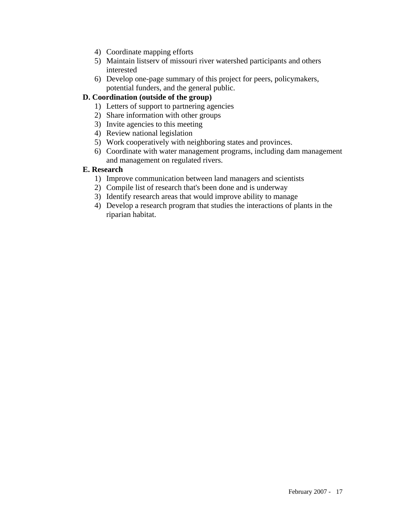- 4) Coordinate mapping efforts
- 5) Maintain listserv of missouri river watershed participants and others interested
- 6) Develop one-page summary of this project for peers, policymakers, potential funders, and the general public.

#### **D. Coordination (outside of the group)**

- 1) Letters of support to partnering agencies
- 2) Share information with other groups
- 3) Invite agencies to this meeting
- 4) Review national legislation
- 5) Work cooperatively with neighboring states and provinces.
- 6) Coordinate with water management programs, including dam management and management on regulated rivers.

#### **E. Research**

- 1) Improve communication between land managers and scientists
- 2) Compile list of research that's been done and is underway
- 3) Identify research areas that would improve ability to manage
- 4) Develop a research program that studies the interactions of plants in the riparian habitat.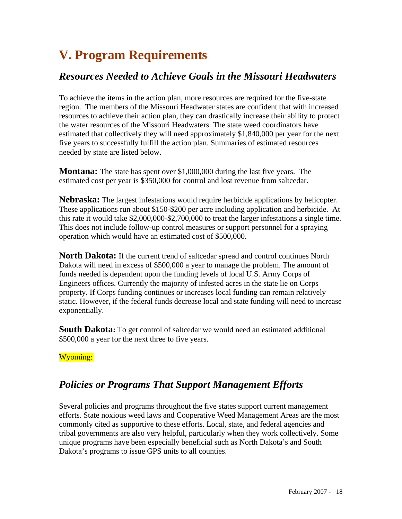# **V. Program Requirements**

## *Resources Needed to Achieve Goals in the Missouri Headwaters*

To achieve the items in the action plan, more resources are required for the five-state region. The members of the Missouri Headwater states are confident that with increased resources to achieve their action plan, they can drastically increase their ability to protect the water resources of the Missouri Headwaters. The state weed coordinators have estimated that collectively they will need approximately \$1,840,000 per year for the next five years to successfully fulfill the action plan. Summaries of estimated resources needed by state are listed below.

**Montana:** The state has spent over \$1,000,000 during the last five years. The estimated cost per year is \$350,000 for control and lost revenue from saltcedar.

**Nebraska:** The largest infestations would require herbicide applications by helicopter. These applications run about \$150-\$200 per acre including application and herbicide. At this rate it would take \$2,000,000-\$2,700,000 to treat the larger infestations a single time. This does not include follow-up control measures or support personnel for a spraying operation which would have an estimated cost of \$500,000.

**North Dakota:** If the current trend of saltcedar spread and control continues North Dakota will need in excess of \$500,000 a year to manage the problem. The amount of funds needed is dependent upon the funding levels of local U.S. Army Corps of Engineers offices. Currently the majority of infested acres in the state lie on Corps property. If Corps funding continues or increases local funding can remain relatively static. However, if the federal funds decrease local and state funding will need to increase exponentially.

**South Dakota:** To get control of saltcedar we would need an estimated additional \$500,000 a year for the next three to five years.

#### Wyoming:

## *Policies or Programs That Support Management Efforts*

Several policies and programs throughout the five states support current management efforts. State noxious weed laws and Cooperative Weed Management Areas are the most commonly cited as supportive to these efforts. Local, state, and federal agencies and tribal governments are also very helpful, particularly when they work collectively. Some unique programs have been especially beneficial such as North Dakota's and South Dakota's programs to issue GPS units to all counties.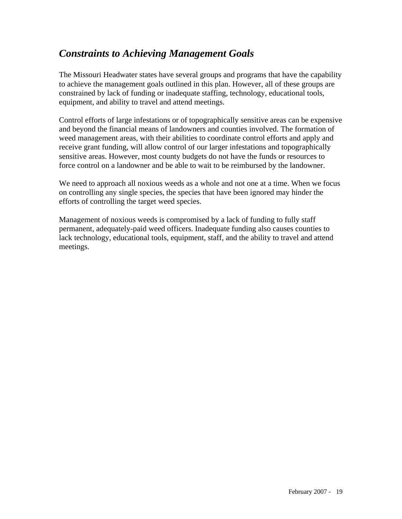## *Constraints to Achieving Management Goals*

The Missouri Headwater states have several groups and programs that have the capability to achieve the management goals outlined in this plan. However, all of these groups are constrained by lack of funding or inadequate staffing, technology, educational tools, equipment, and ability to travel and attend meetings.

Control efforts of large infestations or of topographically sensitive areas can be expensive and beyond the financial means of landowners and counties involved. The formation of weed management areas, with their abilities to coordinate control efforts and apply and receive grant funding, will allow control of our larger infestations and topographically sensitive areas. However, most county budgets do not have the funds or resources to force control on a landowner and be able to wait to be reimbursed by the landowner.

We need to approach all noxious weeds as a whole and not one at a time. When we focus on controlling any single species, the species that have been ignored may hinder the efforts of controlling the target weed species.

Management of noxious weeds is compromised by a lack of funding to fully staff permanent, adequately-paid weed officers. Inadequate funding also causes counties to lack technology, educational tools, equipment, staff, and the ability to travel and attend meetings.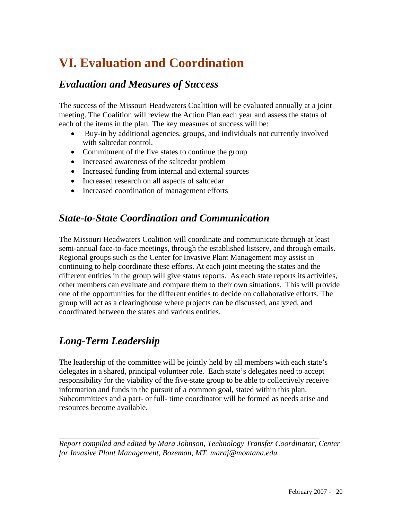## **VI. Evaluation and Coordination**

### *Evaluation and Measures of Success*

The success of the Missouri Headwaters Coalition will be evaluated annually at a joint meeting. The Coalition will review the Action Plan each year and assess the status of each of the items in the plan. The key measures of success will be:

- Buy-in by additional agencies, groups, and individuals not currently involved with saltcedar control.
- Commitment of the five states to continue the group
- Increased awareness of the saltcedar problem
- Increased funding from internal and external sources
- Increased research on all aspects of saltcedar
- Increased coordination of management efforts

#### *State-to-State Coordination and Communication*

The Missouri Headwaters Coalition will coordinate and communicate through at least semi-annual face-to-face meetings, through the established listserv, and through emails. Regional groups such as the Center for Invasive Plant Management may assist in continuing to help coordinate these efforts. At each joint meeting the states and the different entities in the group will give status reports. As each state reports its activities, other members can evaluate and compare them to their own situations. This will provide one of the opportunities for the different entities to decide on collaborative efforts. The group will act as a clearinghouse where projects can be discussed, analyzed, and coordinated between the states and various entities.

## *Long-Term Leadership*

l

The leadership of the committee will be jointly held by all members with each state's delegates in a shared, principal volunteer role. Each state's delegates need to accept responsibility for the viability of the five-state group to be able to collectively receive information and funds in the pursuit of a common goal, stated within this plan. Subcommittees and a part- or full- time coordinator will be formed as needs arise and resources become available.

*Report compiled and edited by Mara Johnson, Technology Transfer Coordinator, Center for Invasive Plant Management, Bozeman, MT. maraj@montana.edu.*